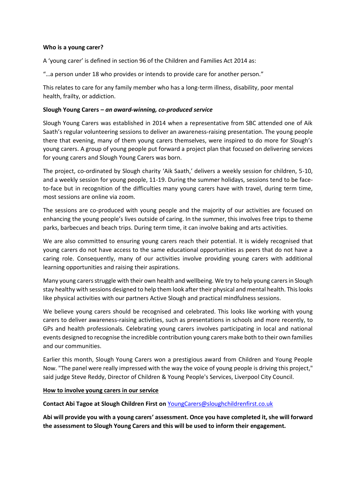## **Who is a young carer?**

A 'young carer' is defined in section 96 of the Children and Families Act 2014 as:

"…a person under 18 who provides or intends to provide care for another person."

This relates to care for any family member who has a long-term illness, disability, poor mental health, frailty, or addiction.

## **Slough Young Carers** *– an award-winning, co-produced service*

Slough Young Carers was established in 2014 when a representative from SBC attended one of Aik Saath's regular volunteering sessions to deliver an awareness-raising presentation. The young people there that evening, many of them young carers themselves, were inspired to do more for Slough's young carers. A group of young people put forward a project plan that focused on delivering services for young carers and Slough Young Carers was born.

The project, co-ordinated by Slough charity 'Aik Saath,' delivers a weekly session for children, 5-10, and a weekly session for young people, 11-19. During the summer holidays, sessions tend to be faceto-face but in recognition of the difficulties many young carers have with travel, during term time, most sessions are online via zoom.

The sessions are co-produced with young people and the majority of our activities are focused on enhancing the young people's lives outside of caring. In the summer, this involves free trips to theme parks, barbecues and beach trips. During term time, it can involve baking and arts activities.

We are also committed to ensuring young carers reach their potential. It is widely recognised that young carers do not have access to the same educational opportunities as peers that do not have a caring role. Consequently, many of our activities involve providing young carers with additional learning opportunities and raising their aspirations.

Many young carers struggle with their own health and wellbeing. We try to help young carers in Slough stay healthy with sessions designed to help them look after their physical and mental health. This looks like physical activities with our partners Active Slough and practical mindfulness sessions.

We believe young carers should be recognised and celebrated. This looks like working with young carers to deliver awareness-raising activities, such as presentations in schools and more recently, to GPs and health professionals. Celebrating young carers involves participating in local and national events designed to recognise the incredible contribution young carers make both to their own families and our communities.

Earlier this month, Slough Young Carers won a prestigious award from Children and Young People Now. "The panel were really impressed with the way the voice of young people is driving this project," said judge Steve Reddy, Director of Children & Young People's Services, Liverpool City Council.

## **How to involve young carers in our service**

## **Contact Abi Tagoe at Slough Children First on** [YoungCarers@sloughchildrenfirst.co.uk](mailto:YoungCarers@sloughchildrenfirst.co.uk)

**Abi will provide you with a young carers' assessment. Once you have completed it, she will forward the assessment to Slough Young Carers and this will be used to inform their engagement.**